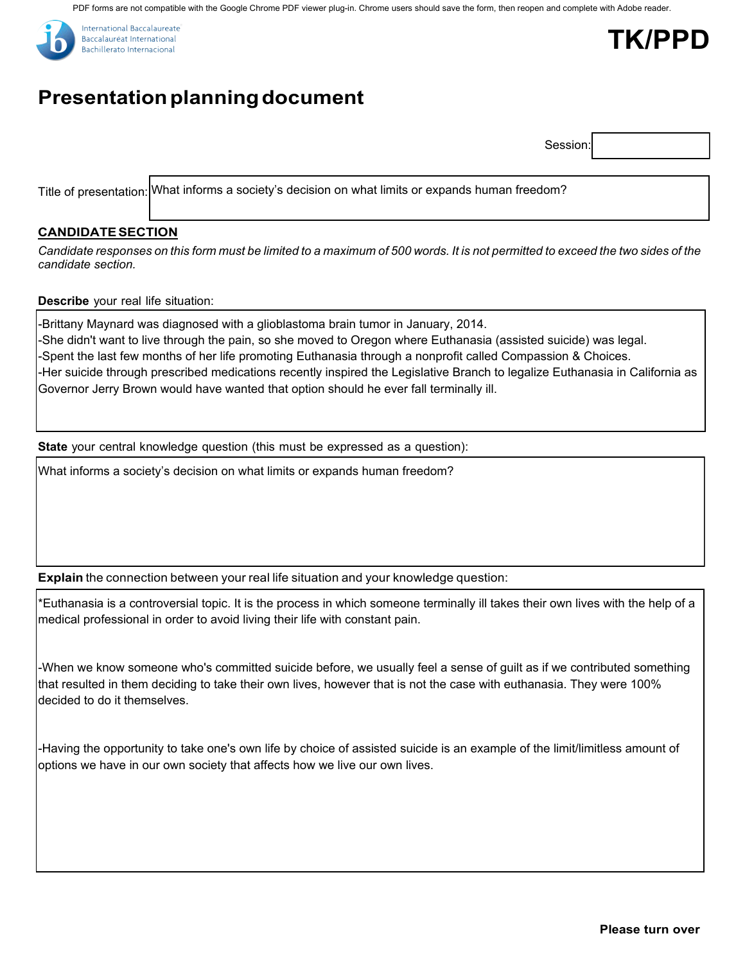PDF forms are not compatible with the Google Chrome PDF viewer plug-in. Chrome users should save the form, then reopen and complete with Adobe reader.



# **Presentation planning document**

Session:

**TK/PPD**

Title of presentation: What informs a society's decision on what limits or expands human freedom?

### **CANDIDATESECTION**

Candidate responses on this form must be limited to a maximum of 500 words. It is not permitted to exceed the two sides of the *candidate section.*

#### **Describe** your real life situation:

-Brittany Maynard was diagnosed with a glioblastoma brain tumor in January, 2014. -She didn't want to live through the pain, so she moved to Oregon where Euthanasia (assisted suicide) was legal. -Spent the last few months of her life promoting Euthanasia through a nonprofit called Compassion & Choices. -Her suicide through prescribed medications recently inspired the Legislative Branch to legalize Euthanasia in California as Governor Jerry Brown would have wanted that option should he ever fall terminally ill.

**State** your central knowledge question (this must be expressed as a question):

What informs a society's decision on what limits or expands human freedom?

**Explain** the connection between your real life situation and your knowledge question:

\*Euthanasia is a controversial topic. It is the process in which someone terminally ill takes their own lives with the help of a medical professional in order to avoid living their life with constant pain.

-When we know someone who's committed suicide before, we usually feel a sense of guilt as if we contributed something that resulted in them deciding to take their own lives, however that is not the case with euthanasia. They were 100% decided to do it themselves.

-Having the opportunity to take one's own life by choice of assisted suicide is an example of the limit/limitless amount of options we have in our own society that affects how we live our own lives.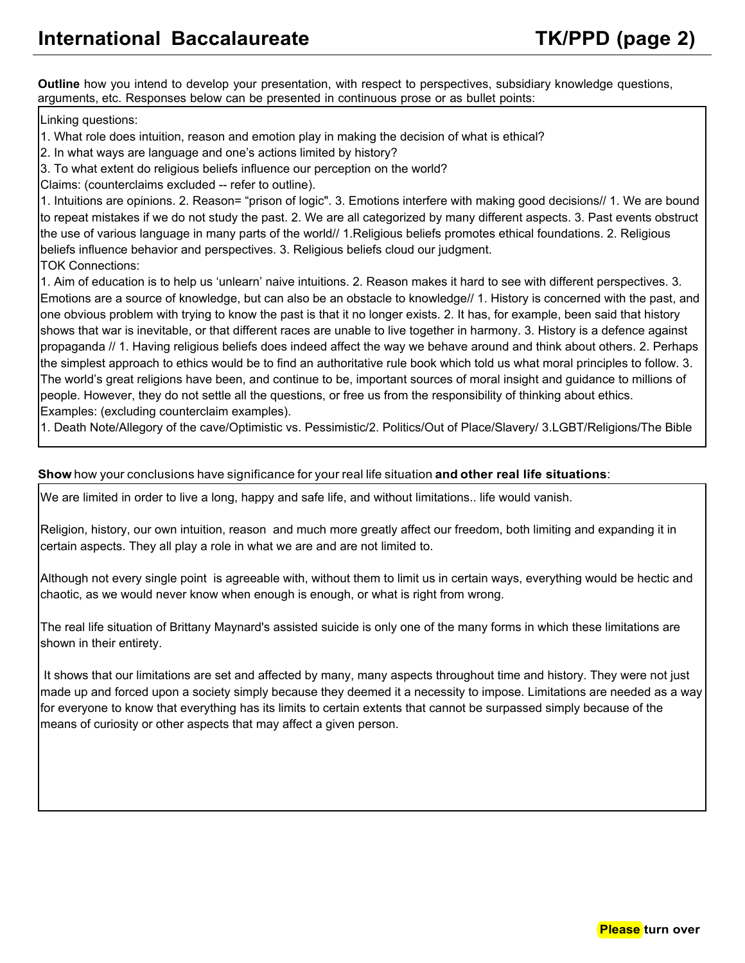**Outline** how you intend to develop your presentation, with respect to perspectives, subsidiary knowledge questions, arguments, etc. Responses below can be presented in continuous prose or as bullet points:

Linking questions:

1. What role does intuition, reason and emotion play in making the decision of what is ethical?

2. In what ways are language and one's actions limited by history?

3. To what extent do religious beliefs influence our perception on the world?

Claims: (counterclaims excluded -- refer to outline).

1. Intuitions are opinions. 2. Reason= "prison of logic". 3. Emotions interfere with making good decisions// 1. We are bound to repeat mistakes if we do not study the past. 2. We are all categorized by many different aspects. 3. Past events obstruct the use of various language in many parts of the world// 1.Religious beliefs promotes ethical foundations. 2. Religious beliefs influence behavior and perspectives. 3. Religious beliefs cloud our judgment. TOK Connections:

1. Aim of education is to help us 'unlearn' naive intuitions. 2. Reason makes it hard to see with different perspectives. 3. Emotions are a source of knowledge, but can also be an obstacle to knowledge// 1. History is concerned with the past, and one obvious problem with trying to know the past is that it no longer exists. 2. It has, for example, been said that history shows that war is inevitable, or that different races are unable to live together in harmony. 3. History is a defence against propaganda // 1. Having religious beliefs does indeed affect the way we behave around and think about others. 2. Perhaps the simplest approach to ethics would be to find an authoritative rule book which told us what moral principles to follow. 3. The world's great religions have been, and continue to be, important sources of moral insight and guidance to millions of people. However, they do not settle all the questions, or free us from the responsibility of thinking about ethics. Examples: (excluding counterclaim examples).

1. Death Note/Allegory of the cave/Optimistic vs. Pessimistic/2. Politics/Out of Place/Slavery/ 3.LGBT/Religions/The Bible

#### **Show** how your conclusions have significance for your real life situation **and other real life situations**:

We are limited in order to live a long, happy and safe life, and without limitations.. life would vanish.

Religion, history, our own intuition, reason and much more greatly affect our freedom, both limiting and expanding it in certain aspects. They all play a role in what we are and are not limited to.

Although not every single point is agreeable with, without them to limit us in certain ways, everything would be hectic and chaotic, as we would never know when enough is enough, or what is right from wrong.

The real life situation of Brittany Maynard's assisted suicide is only one of the many forms in which these limitations are shown in their entirety.

 It shows that our limitations are set and affected by many, many aspects throughout time and history. They were not just made up and forced upon a society simply because they deemed it a necessity to impose. Limitations are needed as a way for everyone to know that everything has its limits to certain extents that cannot be surpassed simply because of the means of curiosity or other aspects that may affect a given person.